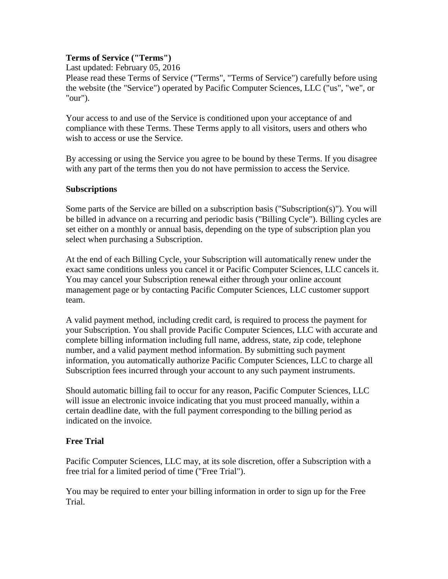### **Terms of Service ("Terms")**

Last updated: February 05, 2016

Please read these Terms of Service ("Terms", "Terms of Service") carefully before using the website (the "Service") operated by Pacific Computer Sciences, LLC ("us", "we", or "our").

Your access to and use of the Service is conditioned upon your acceptance of and compliance with these Terms. These Terms apply to all visitors, users and others who wish to access or use the Service.

By accessing or using the Service you agree to be bound by these Terms. If you disagree with any part of the terms then you do not have permission to access the Service.

### **Subscriptions**

Some parts of the Service are billed on a subscription basis ("Subscription(s)"). You will be billed in advance on a recurring and periodic basis ("Billing Cycle"). Billing cycles are set either on a monthly or annual basis, depending on the type of subscription plan you select when purchasing a Subscription.

At the end of each Billing Cycle, your Subscription will automatically renew under the exact same conditions unless you cancel it or Pacific Computer Sciences, LLC cancels it. You may cancel your Subscription renewal either through your online account management page or by contacting Pacific Computer Sciences, LLC customer support team.

A valid payment method, including credit card, is required to process the payment for your Subscription. You shall provide Pacific Computer Sciences, LLC with accurate and complete billing information including full name, address, state, zip code, telephone number, and a valid payment method information. By submitting such payment information, you automatically authorize Pacific Computer Sciences, LLC to charge all Subscription fees incurred through your account to any such payment instruments.

Should automatic billing fail to occur for any reason, Pacific Computer Sciences, LLC will issue an electronic invoice indicating that you must proceed manually, within a certain deadline date, with the full payment corresponding to the billing period as indicated on the invoice.

## **Free Trial**

Pacific Computer Sciences, LLC may, at its sole discretion, offer a Subscription with a free trial for a limited period of time ("Free Trial").

You may be required to enter your billing information in order to sign up for the Free Trial.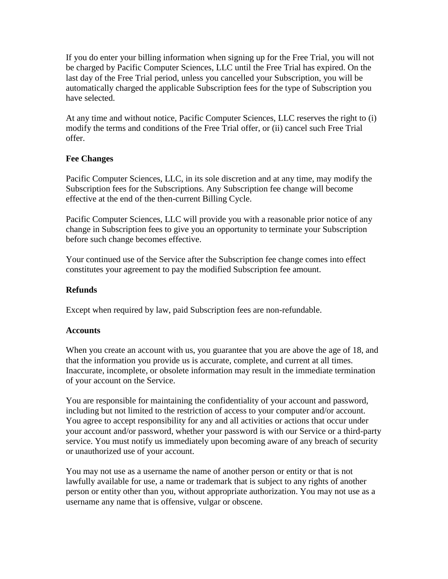If you do enter your billing information when signing up for the Free Trial, you will not be charged by Pacific Computer Sciences, LLC until the Free Trial has expired. On the last day of the Free Trial period, unless you cancelled your Subscription, you will be automatically charged the applicable Subscription fees for the type of Subscription you have selected.

At any time and without notice, Pacific Computer Sciences, LLC reserves the right to (i) modify the terms and conditions of the Free Trial offer, or (ii) cancel such Free Trial offer.

## **Fee Changes**

Pacific Computer Sciences, LLC, in its sole discretion and at any time, may modify the Subscription fees for the Subscriptions. Any Subscription fee change will become effective at the end of the then-current Billing Cycle.

Pacific Computer Sciences, LLC will provide you with a reasonable prior notice of any change in Subscription fees to give you an opportunity to terminate your Subscription before such change becomes effective.

Your continued use of the Service after the Subscription fee change comes into effect constitutes your agreement to pay the modified Subscription fee amount.

### **Refunds**

Except when required by law, paid Subscription fees are non-refundable.

#### **Accounts**

When you create an account with us, you guarantee that you are above the age of 18, and that the information you provide us is accurate, complete, and current at all times. Inaccurate, incomplete, or obsolete information may result in the immediate termination of your account on the Service.

You are responsible for maintaining the confidentiality of your account and password, including but not limited to the restriction of access to your computer and/or account. You agree to accept responsibility for any and all activities or actions that occur under your account and/or password, whether your password is with our Service or a third-party service. You must notify us immediately upon becoming aware of any breach of security or unauthorized use of your account.

You may not use as a username the name of another person or entity or that is not lawfully available for use, a name or trademark that is subject to any rights of another person or entity other than you, without appropriate authorization. You may not use as a username any name that is offensive, vulgar or obscene.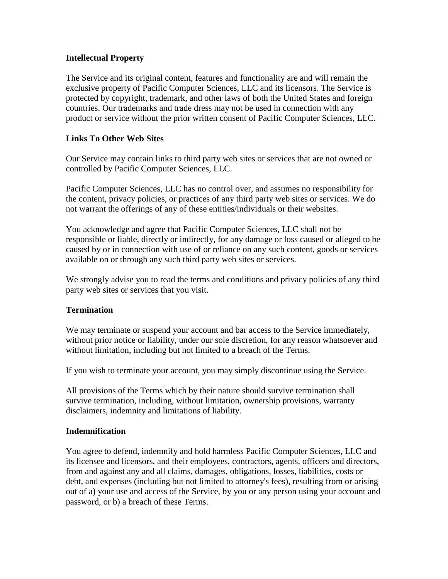### **Intellectual Property**

The Service and its original content, features and functionality are and will remain the exclusive property of Pacific Computer Sciences, LLC and its licensors. The Service is protected by copyright, trademark, and other laws of both the United States and foreign countries. Our trademarks and trade dress may not be used in connection with any product or service without the prior written consent of Pacific Computer Sciences, LLC.

### **Links To Other Web Sites**

Our Service may contain links to third party web sites or services that are not owned or controlled by Pacific Computer Sciences, LLC.

Pacific Computer Sciences, LLC has no control over, and assumes no responsibility for the content, privacy policies, or practices of any third party web sites or services. We do not warrant the offerings of any of these entities/individuals or their websites.

You acknowledge and agree that Pacific Computer Sciences, LLC shall not be responsible or liable, directly or indirectly, for any damage or loss caused or alleged to be caused by or in connection with use of or reliance on any such content, goods or services available on or through any such third party web sites or services.

We strongly advise you to read the terms and conditions and privacy policies of any third party web sites or services that you visit.

#### **Termination**

We may terminate or suspend your account and bar access to the Service immediately, without prior notice or liability, under our sole discretion, for any reason whatsoever and without limitation, including but not limited to a breach of the Terms.

If you wish to terminate your account, you may simply discontinue using the Service.

All provisions of the Terms which by their nature should survive termination shall survive termination, including, without limitation, ownership provisions, warranty disclaimers, indemnity and limitations of liability.

#### **Indemnification**

You agree to defend, indemnify and hold harmless Pacific Computer Sciences, LLC and its licensee and licensors, and their employees, contractors, agents, officers and directors, from and against any and all claims, damages, obligations, losses, liabilities, costs or debt, and expenses (including but not limited to attorney's fees), resulting from or arising out of a) your use and access of the Service, by you or any person using your account and password, or b) a breach of these Terms.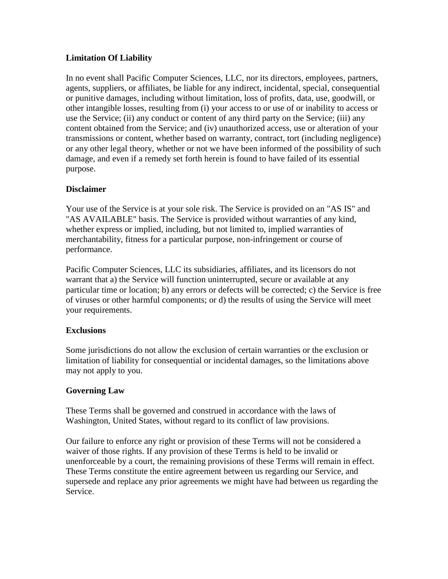# **Limitation Of Liability**

In no event shall Pacific Computer Sciences, LLC, nor its directors, employees, partners, agents, suppliers, or affiliates, be liable for any indirect, incidental, special, consequential or punitive damages, including without limitation, loss of profits, data, use, goodwill, or other intangible losses, resulting from (i) your access to or use of or inability to access or use the Service; (ii) any conduct or content of any third party on the Service; (iii) any content obtained from the Service; and (iv) unauthorized access, use or alteration of your transmissions or content, whether based on warranty, contract, tort (including negligence) or any other legal theory, whether or not we have been informed of the possibility of such damage, and even if a remedy set forth herein is found to have failed of its essential purpose.

## **Disclaimer**

Your use of the Service is at your sole risk. The Service is provided on an "AS IS" and "AS AVAILABLE" basis. The Service is provided without warranties of any kind, whether express or implied, including, but not limited to, implied warranties of merchantability, fitness for a particular purpose, non-infringement or course of performance.

Pacific Computer Sciences, LLC its subsidiaries, affiliates, and its licensors do not warrant that a) the Service will function uninterrupted, secure or available at any particular time or location; b) any errors or defects will be corrected; c) the Service is free of viruses or other harmful components; or d) the results of using the Service will meet your requirements.

## **Exclusions**

Some jurisdictions do not allow the exclusion of certain warranties or the exclusion or limitation of liability for consequential or incidental damages, so the limitations above may not apply to you.

## **Governing Law**

These Terms shall be governed and construed in accordance with the laws of Washington, United States, without regard to its conflict of law provisions.

Our failure to enforce any right or provision of these Terms will not be considered a waiver of those rights. If any provision of these Terms is held to be invalid or unenforceable by a court, the remaining provisions of these Terms will remain in effect. These Terms constitute the entire agreement between us regarding our Service, and supersede and replace any prior agreements we might have had between us regarding the Service.